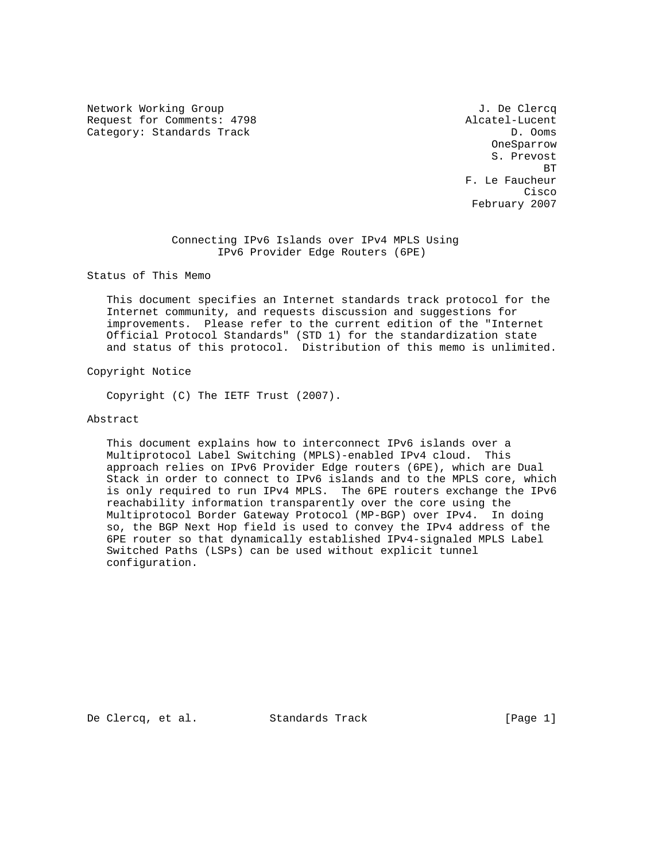Network Working Group J. De Clercq Request for Comments: 4798 Alcatel-Lucent Category: Standards Track D. Ooms D. Ooms

 OneSparrow S. Prevost **BT BT BT**  F. Le Faucheur **Cisco de la contrata de la contrata de la contrata de la contrata de la contrata de la contrata de la contrat** February 2007

> Connecting IPv6 Islands over IPv4 MPLS Using IPv6 Provider Edge Routers (6PE)

Status of This Memo

 This document specifies an Internet standards track protocol for the Internet community, and requests discussion and suggestions for improvements. Please refer to the current edition of the "Internet Official Protocol Standards" (STD 1) for the standardization state and status of this protocol. Distribution of this memo is unlimited.

Copyright Notice

Copyright (C) The IETF Trust (2007).

### Abstract

 This document explains how to interconnect IPv6 islands over a Multiprotocol Label Switching (MPLS)-enabled IPv4 cloud. This approach relies on IPv6 Provider Edge routers (6PE), which are Dual Stack in order to connect to IPv6 islands and to the MPLS core, which is only required to run IPv4 MPLS. The 6PE routers exchange the IPv6 reachability information transparently over the core using the Multiprotocol Border Gateway Protocol (MP-BGP) over IPv4. In doing so, the BGP Next Hop field is used to convey the IPv4 address of the 6PE router so that dynamically established IPv4-signaled MPLS Label Switched Paths (LSPs) can be used without explicit tunnel configuration.

De Clercq, et al. Standards Track [Page 1]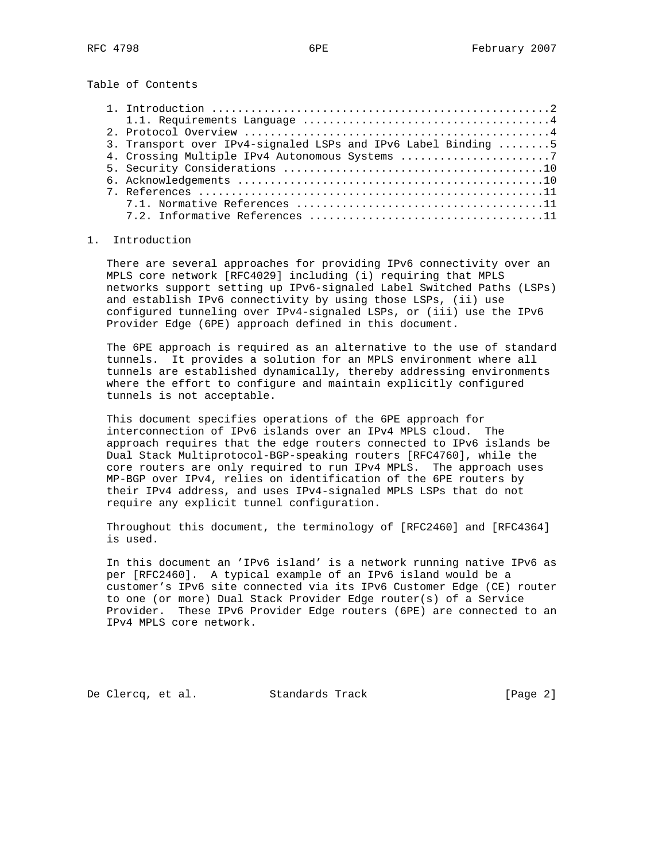Table of Contents

| 3. Transport over IPv4-signaled LSPs and IPv6 Label Binding 5 |
|---------------------------------------------------------------|
| 4. Crossing Multiple IPv4 Autonomous Systems 7                |
|                                                               |
|                                                               |
|                                                               |
|                                                               |
|                                                               |

# 1. Introduction

 There are several approaches for providing IPv6 connectivity over an MPLS core network [RFC4029] including (i) requiring that MPLS networks support setting up IPv6-signaled Label Switched Paths (LSPs) and establish IPv6 connectivity by using those LSPs, (ii) use configured tunneling over IPv4-signaled LSPs, or (iii) use the IPv6 Provider Edge (6PE) approach defined in this document.

 The 6PE approach is required as an alternative to the use of standard tunnels. It provides a solution for an MPLS environment where all tunnels are established dynamically, thereby addressing environments where the effort to configure and maintain explicitly configured tunnels is not acceptable.

 This document specifies operations of the 6PE approach for interconnection of IPv6 islands over an IPv4 MPLS cloud. The approach requires that the edge routers connected to IPv6 islands be Dual Stack Multiprotocol-BGP-speaking routers [RFC4760], while the core routers are only required to run IPv4 MPLS. The approach uses MP-BGP over IPv4, relies on identification of the 6PE routers by their IPv4 address, and uses IPv4-signaled MPLS LSPs that do not require any explicit tunnel configuration.

 Throughout this document, the terminology of [RFC2460] and [RFC4364] is used.

 In this document an 'IPv6 island' is a network running native IPv6 as per [RFC2460]. A typical example of an IPv6 island would be a customer's IPv6 site connected via its IPv6 Customer Edge (CE) router to one (or more) Dual Stack Provider Edge router(s) of a Service Provider. These IPv6 Provider Edge routers (6PE) are connected to an IPv4 MPLS core network.

De Clercq, et al. Standards Track [Page 2]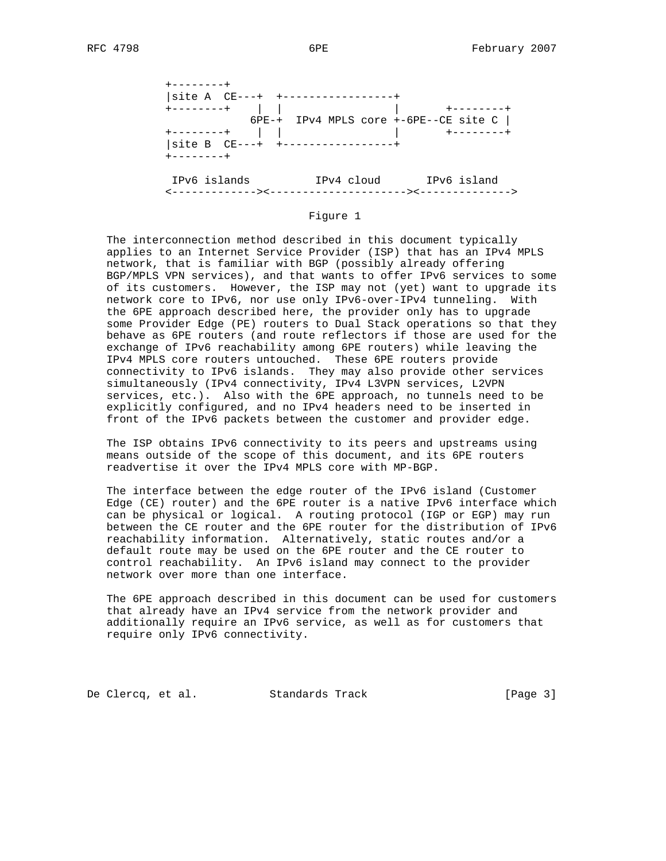

#### Figure 1

 The interconnection method described in this document typically applies to an Internet Service Provider (ISP) that has an IPv4 MPLS network, that is familiar with BGP (possibly already offering BGP/MPLS VPN services), and that wants to offer IPv6 services to some of its customers. However, the ISP may not (yet) want to upgrade its network core to IPv6, nor use only IPv6-over-IPv4 tunneling. With the 6PE approach described here, the provider only has to upgrade some Provider Edge (PE) routers to Dual Stack operations so that they behave as 6PE routers (and route reflectors if those are used for the exchange of IPv6 reachability among 6PE routers) while leaving the IPv4 MPLS core routers untouched. These 6PE routers provide connectivity to IPv6 islands. They may also provide other services simultaneously (IPv4 connectivity, IPv4 L3VPN services, L2VPN services, etc.). Also with the 6PE approach, no tunnels need to be explicitly configured, and no IPv4 headers need to be inserted in front of the IPv6 packets between the customer and provider edge.

 The ISP obtains IPv6 connectivity to its peers and upstreams using means outside of the scope of this document, and its 6PE routers readvertise it over the IPv4 MPLS core with MP-BGP.

 The interface between the edge router of the IPv6 island (Customer Edge (CE) router) and the 6PE router is a native IPv6 interface which can be physical or logical. A routing protocol (IGP or EGP) may run between the CE router and the 6PE router for the distribution of IPv6 reachability information. Alternatively, static routes and/or a default route may be used on the 6PE router and the CE router to control reachability. An IPv6 island may connect to the provider network over more than one interface.

 The 6PE approach described in this document can be used for customers that already have an IPv4 service from the network provider and additionally require an IPv6 service, as well as for customers that require only IPv6 connectivity.

De Clercq, et al. Standards Track [Page 3]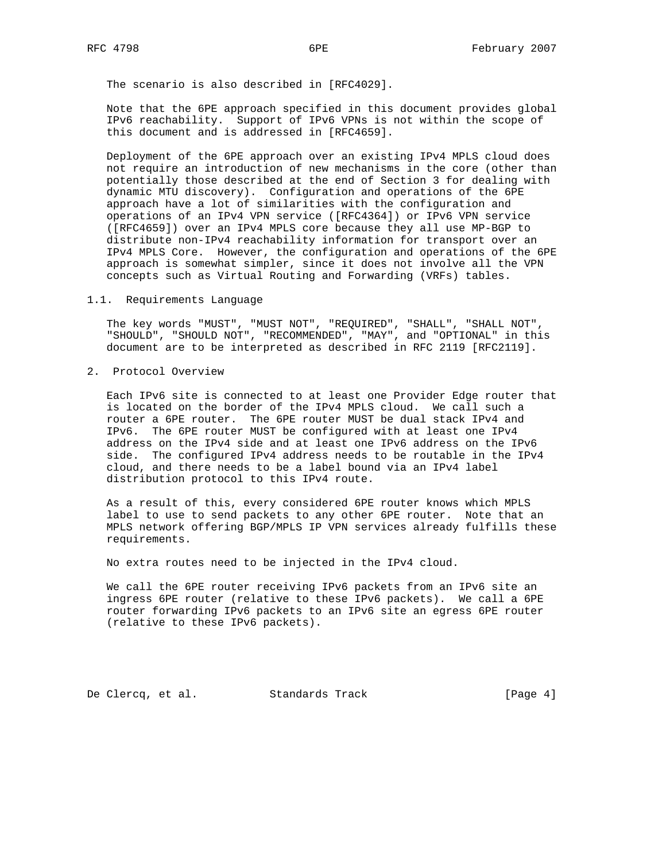The scenario is also described in [RFC4029].

 Note that the 6PE approach specified in this document provides global IPv6 reachability. Support of IPv6 VPNs is not within the scope of this document and is addressed in [RFC4659].

 Deployment of the 6PE approach over an existing IPv4 MPLS cloud does not require an introduction of new mechanisms in the core (other than potentially those described at the end of Section 3 for dealing with dynamic MTU discovery). Configuration and operations of the 6PE approach have a lot of similarities with the configuration and operations of an IPv4 VPN service ([RFC4364]) or IPv6 VPN service ([RFC4659]) over an IPv4 MPLS core because they all use MP-BGP to distribute non-IPv4 reachability information for transport over an IPv4 MPLS Core. However, the configuration and operations of the 6PE approach is somewhat simpler, since it does not involve all the VPN concepts such as Virtual Routing and Forwarding (VRFs) tables.

#### 1.1. Requirements Language

 The key words "MUST", "MUST NOT", "REQUIRED", "SHALL", "SHALL NOT", "SHOULD", "SHOULD NOT", "RECOMMENDED", "MAY", and "OPTIONAL" in this document are to be interpreted as described in RFC 2119 [RFC2119].

2. Protocol Overview

 Each IPv6 site is connected to at least one Provider Edge router that is located on the border of the IPv4 MPLS cloud. We call such a router a 6PE router. The 6PE router MUST be dual stack IPv4 and IPv6. The 6PE router MUST be configured with at least one IPv4 address on the IPv4 side and at least one IPv6 address on the IPv6 side. The configured IPv4 address needs to be routable in the IPv4 cloud, and there needs to be a label bound via an IPv4 label distribution protocol to this IPv4 route.

 As a result of this, every considered 6PE router knows which MPLS label to use to send packets to any other 6PE router. Note that an MPLS network offering BGP/MPLS IP VPN services already fulfills these requirements.

No extra routes need to be injected in the IPv4 cloud.

 We call the 6PE router receiving IPv6 packets from an IPv6 site an ingress 6PE router (relative to these IPv6 packets). We call a 6PE router forwarding IPv6 packets to an IPv6 site an egress 6PE router (relative to these IPv6 packets).

De Clercq, et al. Standards Track [Page 4]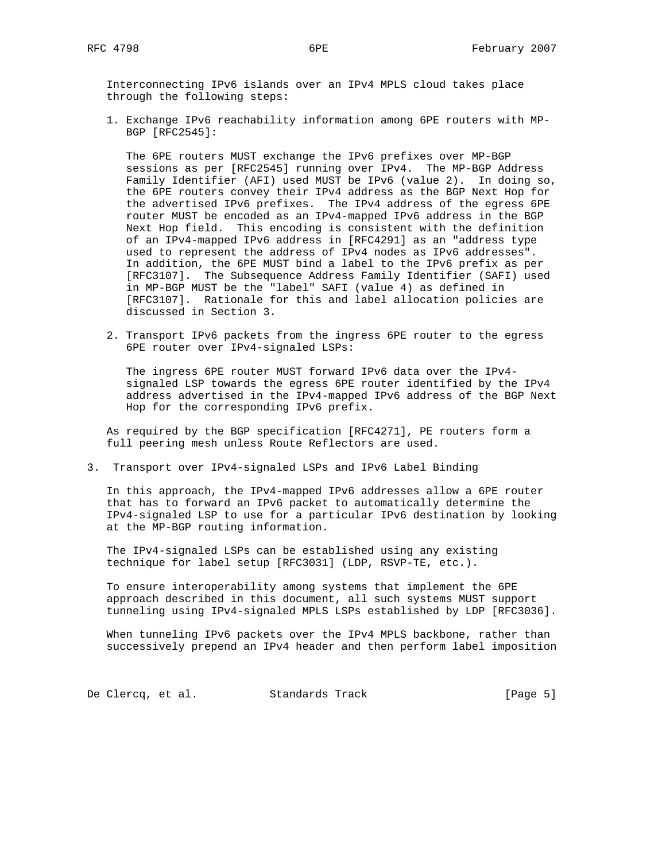Interconnecting IPv6 islands over an IPv4 MPLS cloud takes place through the following steps:

 1. Exchange IPv6 reachability information among 6PE routers with MP- BGP [RFC2545]:

 The 6PE routers MUST exchange the IPv6 prefixes over MP-BGP sessions as per [RFC2545] running over IPv4. The MP-BGP Address Family Identifier (AFI) used MUST be IPv6 (value 2). In doing so, the 6PE routers convey their IPv4 address as the BGP Next Hop for the advertised IPv6 prefixes. The IPv4 address of the egress 6PE router MUST be encoded as an IPv4-mapped IPv6 address in the BGP Next Hop field. This encoding is consistent with the definition of an IPv4-mapped IPv6 address in [RFC4291] as an "address type used to represent the address of IPv4 nodes as IPv6 addresses". In addition, the 6PE MUST bind a label to the IPv6 prefix as per [RFC3107]. The Subsequence Address Family Identifier (SAFI) used in MP-BGP MUST be the "label" SAFI (value 4) as defined in [RFC3107]. Rationale for this and label allocation policies are discussed in Section 3.

 2. Transport IPv6 packets from the ingress 6PE router to the egress 6PE router over IPv4-signaled LSPs:

 The ingress 6PE router MUST forward IPv6 data over the IPv4 signaled LSP towards the egress 6PE router identified by the IPv4 address advertised in the IPv4-mapped IPv6 address of the BGP Next Hop for the corresponding IPv6 prefix.

 As required by the BGP specification [RFC4271], PE routers form a full peering mesh unless Route Reflectors are used.

3. Transport over IPv4-signaled LSPs and IPv6 Label Binding

 In this approach, the IPv4-mapped IPv6 addresses allow a 6PE router that has to forward an IPv6 packet to automatically determine the IPv4-signaled LSP to use for a particular IPv6 destination by looking at the MP-BGP routing information.

 The IPv4-signaled LSPs can be established using any existing technique for label setup [RFC3031] (LDP, RSVP-TE, etc.).

 To ensure interoperability among systems that implement the 6PE approach described in this document, all such systems MUST support tunneling using IPv4-signaled MPLS LSPs established by LDP [RFC3036].

 When tunneling IPv6 packets over the IPv4 MPLS backbone, rather than successively prepend an IPv4 header and then perform label imposition

De Clercq, et al. Standards Track [Page 5]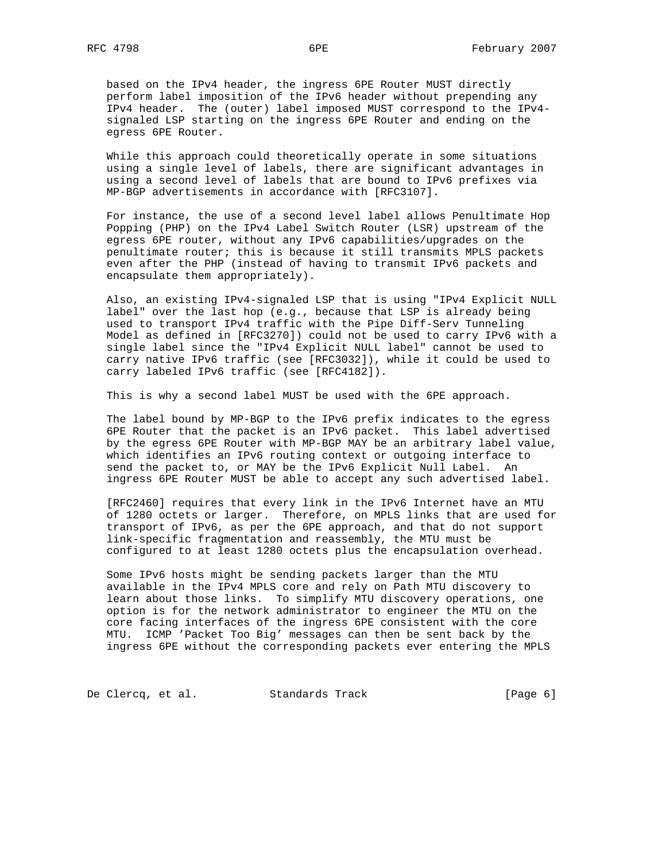based on the IPv4 header, the ingress 6PE Router MUST directly perform label imposition of the IPv6 header without prepending any IPv4 header. The (outer) label imposed MUST correspond to the IPv4 signaled LSP starting on the ingress 6PE Router and ending on the egress 6PE Router.

 While this approach could theoretically operate in some situations using a single level of labels, there are significant advantages in using a second level of labels that are bound to IPv6 prefixes via MP-BGP advertisements in accordance with [RFC3107].

 For instance, the use of a second level label allows Penultimate Hop Popping (PHP) on the IPv4 Label Switch Router (LSR) upstream of the egress 6PE router, without any IPv6 capabilities/upgrades on the penultimate router; this is because it still transmits MPLS packets even after the PHP (instead of having to transmit IPv6 packets and encapsulate them appropriately).

 Also, an existing IPv4-signaled LSP that is using "IPv4 Explicit NULL label" over the last hop (e.g., because that LSP is already being used to transport IPv4 traffic with the Pipe Diff-Serv Tunneling Model as defined in [RFC3270]) could not be used to carry IPv6 with a single label since the "IPv4 Explicit NULL label" cannot be used to carry native IPv6 traffic (see [RFC3032]), while it could be used to carry labeled IPv6 traffic (see [RFC4182]).

This is why a second label MUST be used with the 6PE approach.

 The label bound by MP-BGP to the IPv6 prefix indicates to the egress 6PE Router that the packet is an IPv6 packet. This label advertised by the egress 6PE Router with MP-BGP MAY be an arbitrary label value, which identifies an IPv6 routing context or outgoing interface to send the packet to, or MAY be the IPv6 Explicit Null Label. An ingress 6PE Router MUST be able to accept any such advertised label.

 [RFC2460] requires that every link in the IPv6 Internet have an MTU of 1280 octets or larger. Therefore, on MPLS links that are used for transport of IPv6, as per the 6PE approach, and that do not support link-specific fragmentation and reassembly, the MTU must be configured to at least 1280 octets plus the encapsulation overhead.

 Some IPv6 hosts might be sending packets larger than the MTU available in the IPv4 MPLS core and rely on Path MTU discovery to learn about those links. To simplify MTU discovery operations, one option is for the network administrator to engineer the MTU on the core facing interfaces of the ingress 6PE consistent with the core MTU. ICMP 'Packet Too Big' messages can then be sent back by the ingress 6PE without the corresponding packets ever entering the MPLS

De Clercq, et al. Standards Track [Page 6]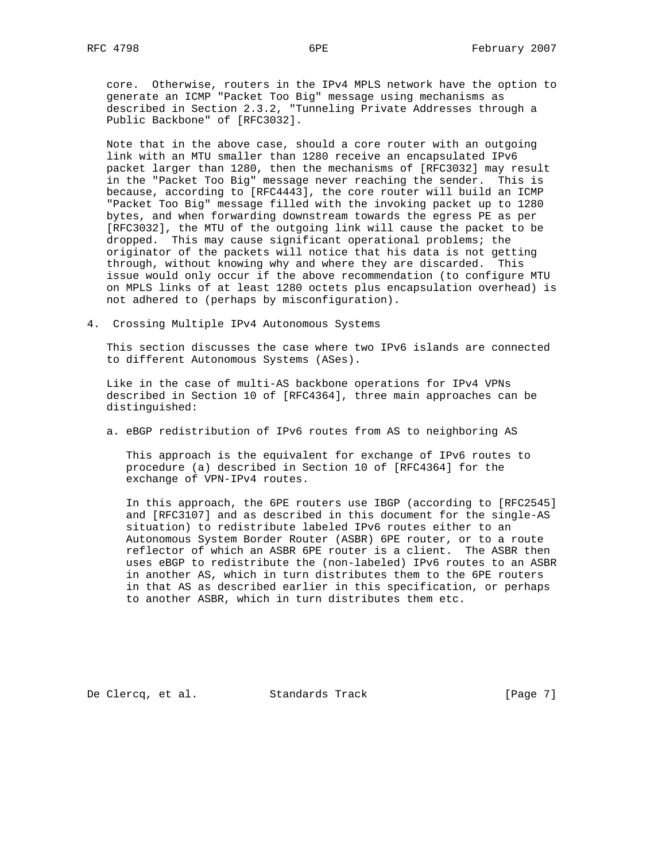core. Otherwise, routers in the IPv4 MPLS network have the option to generate an ICMP "Packet Too Big" message using mechanisms as described in Section 2.3.2, "Tunneling Private Addresses through a Public Backbone" of [RFC3032].

 Note that in the above case, should a core router with an outgoing link with an MTU smaller than 1280 receive an encapsulated IPv6 packet larger than 1280, then the mechanisms of [RFC3032] may result in the "Packet Too Big" message never reaching the sender. This is because, according to [RFC4443], the core router will build an ICMP "Packet Too Big" message filled with the invoking packet up to 1280 bytes, and when forwarding downstream towards the egress PE as per [RFC3032], the MTU of the outgoing link will cause the packet to be dropped. This may cause significant operational problems; the originator of the packets will notice that his data is not getting through, without knowing why and where they are discarded. This issue would only occur if the above recommendation (to configure MTU on MPLS links of at least 1280 octets plus encapsulation overhead) is not adhered to (perhaps by misconfiguration).

4. Crossing Multiple IPv4 Autonomous Systems

 This section discusses the case where two IPv6 islands are connected to different Autonomous Systems (ASes).

 Like in the case of multi-AS backbone operations for IPv4 VPNs described in Section 10 of [RFC4364], three main approaches can be distinguished:

a. eBGP redistribution of IPv6 routes from AS to neighboring AS

 This approach is the equivalent for exchange of IPv6 routes to procedure (a) described in Section 10 of [RFC4364] for the exchange of VPN-IPv4 routes.

 In this approach, the 6PE routers use IBGP (according to [RFC2545] and [RFC3107] and as described in this document for the single-AS situation) to redistribute labeled IPv6 routes either to an Autonomous System Border Router (ASBR) 6PE router, or to a route reflector of which an ASBR 6PE router is a client. The ASBR then uses eBGP to redistribute the (non-labeled) IPv6 routes to an ASBR in another AS, which in turn distributes them to the 6PE routers in that AS as described earlier in this specification, or perhaps to another ASBR, which in turn distributes them etc.

De Clercq, et al. Standards Track [Page 7]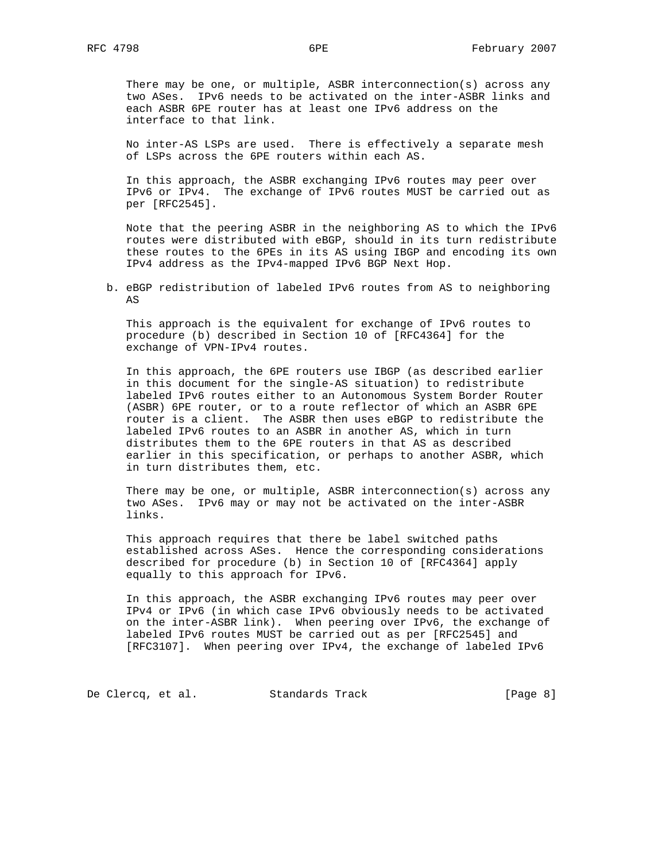There may be one, or multiple, ASBR interconnection(s) across any two ASes. IPv6 needs to be activated on the inter-ASBR links and each ASBR 6PE router has at least one IPv6 address on the interface to that link.

 No inter-AS LSPs are used. There is effectively a separate mesh of LSPs across the 6PE routers within each AS.

 In this approach, the ASBR exchanging IPv6 routes may peer over IPv6 or IPv4. The exchange of IPv6 routes MUST be carried out as per [RFC2545].

 Note that the peering ASBR in the neighboring AS to which the IPv6 routes were distributed with eBGP, should in its turn redistribute these routes to the 6PEs in its AS using IBGP and encoding its own IPv4 address as the IPv4-mapped IPv6 BGP Next Hop.

 b. eBGP redistribution of labeled IPv6 routes from AS to neighboring AS

 This approach is the equivalent for exchange of IPv6 routes to procedure (b) described in Section 10 of [RFC4364] for the exchange of VPN-IPv4 routes.

 In this approach, the 6PE routers use IBGP (as described earlier in this document for the single-AS situation) to redistribute labeled IPv6 routes either to an Autonomous System Border Router (ASBR) 6PE router, or to a route reflector of which an ASBR 6PE router is a client. The ASBR then uses eBGP to redistribute the labeled IPv6 routes to an ASBR in another AS, which in turn distributes them to the 6PE routers in that AS as described earlier in this specification, or perhaps to another ASBR, which in turn distributes them, etc.

 There may be one, or multiple, ASBR interconnection(s) across any two ASes. IPv6 may or may not be activated on the inter-ASBR links.

 This approach requires that there be label switched paths established across ASes. Hence the corresponding considerations described for procedure (b) in Section 10 of [RFC4364] apply equally to this approach for IPv6.

 In this approach, the ASBR exchanging IPv6 routes may peer over IPv4 or IPv6 (in which case IPv6 obviously needs to be activated on the inter-ASBR link). When peering over IPv6, the exchange of labeled IPv6 routes MUST be carried out as per [RFC2545] and [RFC3107]. When peering over IPv4, the exchange of labeled IPv6

De Clercq, et al. Standards Track [Page 8]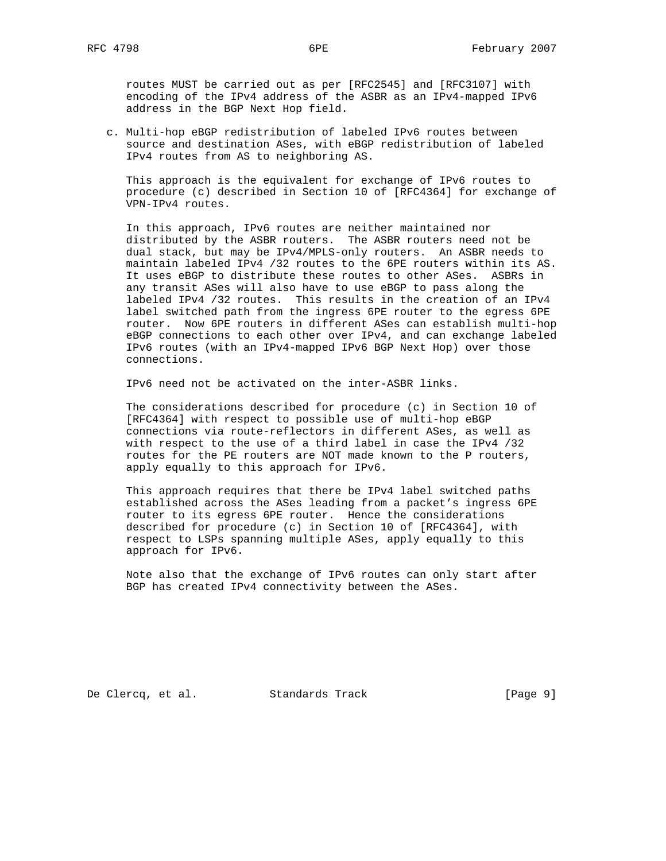routes MUST be carried out as per [RFC2545] and [RFC3107] with encoding of the IPv4 address of the ASBR as an IPv4-mapped IPv6 address in the BGP Next Hop field.

 c. Multi-hop eBGP redistribution of labeled IPv6 routes between source and destination ASes, with eBGP redistribution of labeled IPv4 routes from AS to neighboring AS.

 This approach is the equivalent for exchange of IPv6 routes to procedure (c) described in Section 10 of [RFC4364] for exchange of VPN-IPv4 routes.

 In this approach, IPv6 routes are neither maintained nor distributed by the ASBR routers. The ASBR routers need not be dual stack, but may be IPv4/MPLS-only routers. An ASBR needs to maintain labeled IPv4 /32 routes to the 6PE routers within its AS. It uses eBGP to distribute these routes to other ASes. ASBRs in any transit ASes will also have to use eBGP to pass along the labeled IPv4 /32 routes. This results in the creation of an IPv4 label switched path from the ingress 6PE router to the egress 6PE router. Now 6PE routers in different ASes can establish multi-hop eBGP connections to each other over IPv4, and can exchange labeled IPv6 routes (with an IPv4-mapped IPv6 BGP Next Hop) over those connections.

IPv6 need not be activated on the inter-ASBR links.

 The considerations described for procedure (c) in Section 10 of [RFC4364] with respect to possible use of multi-hop eBGP connections via route-reflectors in different ASes, as well as with respect to the use of a third label in case the IPv4 /32 routes for the PE routers are NOT made known to the P routers, apply equally to this approach for IPv6.

 This approach requires that there be IPv4 label switched paths established across the ASes leading from a packet's ingress 6PE router to its egress 6PE router. Hence the considerations described for procedure (c) in Section 10 of [RFC4364], with respect to LSPs spanning multiple ASes, apply equally to this approach for IPv6.

 Note also that the exchange of IPv6 routes can only start after BGP has created IPv4 connectivity between the ASes.

De Clercq, et al. Standards Track [Page 9]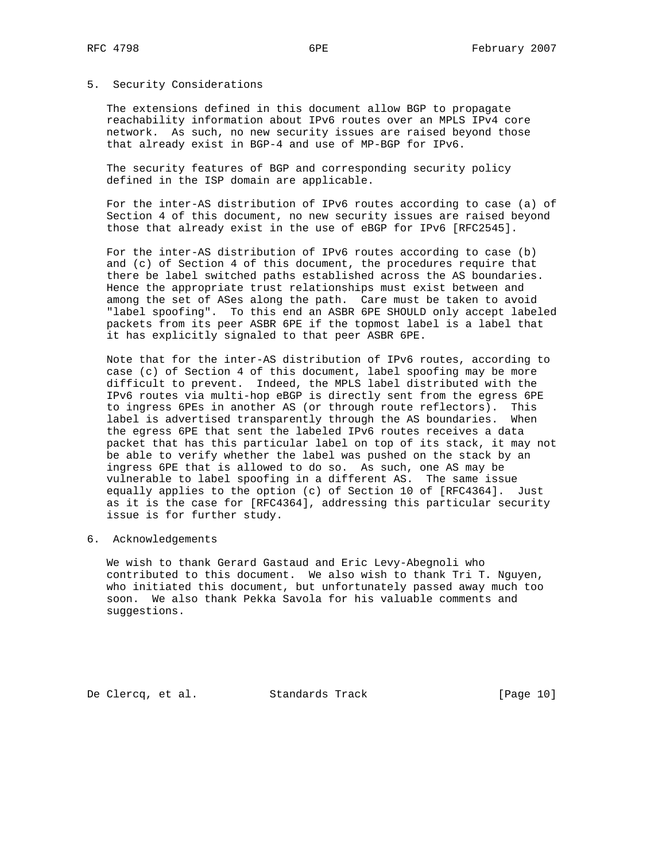### 5. Security Considerations

 The extensions defined in this document allow BGP to propagate reachability information about IPv6 routes over an MPLS IPv4 core network. As such, no new security issues are raised beyond those that already exist in BGP-4 and use of MP-BGP for IPv6.

 The security features of BGP and corresponding security policy defined in the ISP domain are applicable.

 For the inter-AS distribution of IPv6 routes according to case (a) of Section 4 of this document, no new security issues are raised beyond those that already exist in the use of eBGP for IPv6 [RFC2545].

 For the inter-AS distribution of IPv6 routes according to case (b) and (c) of Section 4 of this document, the procedures require that there be label switched paths established across the AS boundaries. Hence the appropriate trust relationships must exist between and among the set of ASes along the path. Care must be taken to avoid "label spoofing". To this end an ASBR 6PE SHOULD only accept labeled packets from its peer ASBR 6PE if the topmost label is a label that it has explicitly signaled to that peer ASBR 6PE.

 Note that for the inter-AS distribution of IPv6 routes, according to case (c) of Section 4 of this document, label spoofing may be more difficult to prevent. Indeed, the MPLS label distributed with the IPv6 routes via multi-hop eBGP is directly sent from the egress 6PE to ingress 6PEs in another AS (or through route reflectors). This label is advertised transparently through the AS boundaries. When the egress 6PE that sent the labeled IPv6 routes receives a data packet that has this particular label on top of its stack, it may not be able to verify whether the label was pushed on the stack by an ingress 6PE that is allowed to do so. As such, one AS may be vulnerable to label spoofing in a different AS. The same issue equally applies to the option (c) of Section 10 of [RFC4364]. Just as it is the case for [RFC4364], addressing this particular security issue is for further study.

6. Acknowledgements

 We wish to thank Gerard Gastaud and Eric Levy-Abegnoli who contributed to this document. We also wish to thank Tri T. Nguyen, who initiated this document, but unfortunately passed away much too soon. We also thank Pekka Savola for his valuable comments and suggestions.

De Clercq, et al. Standards Track [Page 10]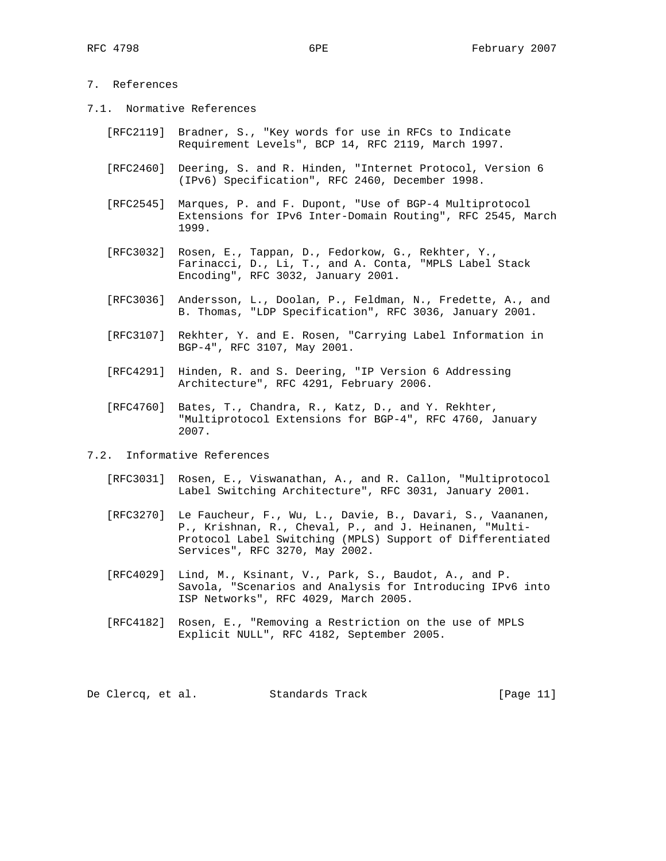## 7. References

- 7.1. Normative References
	- [RFC2119] Bradner, S., "Key words for use in RFCs to Indicate Requirement Levels", BCP 14, RFC 2119, March 1997.
	- [RFC2460] Deering, S. and R. Hinden, "Internet Protocol, Version 6 (IPv6) Specification", RFC 2460, December 1998.
	- [RFC2545] Marques, P. and F. Dupont, "Use of BGP-4 Multiprotocol Extensions for IPv6 Inter-Domain Routing", RFC 2545, March 1999.
	- [RFC3032] Rosen, E., Tappan, D., Fedorkow, G., Rekhter, Y., Farinacci, D., Li, T., and A. Conta, "MPLS Label Stack Encoding", RFC 3032, January 2001.
	- [RFC3036] Andersson, L., Doolan, P., Feldman, N., Fredette, A., and B. Thomas, "LDP Specification", RFC 3036, January 2001.
	- [RFC3107] Rekhter, Y. and E. Rosen, "Carrying Label Information in BGP-4", RFC 3107, May 2001.
	- [RFC4291] Hinden, R. and S. Deering, "IP Version 6 Addressing Architecture", RFC 4291, February 2006.
	- [RFC4760] Bates, T., Chandra, R., Katz, D., and Y. Rekhter, "Multiprotocol Extensions for BGP-4", RFC 4760, January 2007.
- 7.2. Informative References
	- [RFC3031] Rosen, E., Viswanathan, A., and R. Callon, "Multiprotocol Label Switching Architecture", RFC 3031, January 2001.
	- [RFC3270] Le Faucheur, F., Wu, L., Davie, B., Davari, S., Vaananen, P., Krishnan, R., Cheval, P., and J. Heinanen, "Multi- Protocol Label Switching (MPLS) Support of Differentiated Services", RFC 3270, May 2002.
	- [RFC4029] Lind, M., Ksinant, V., Park, S., Baudot, A., and P. Savola, "Scenarios and Analysis for Introducing IPv6 into ISP Networks", RFC 4029, March 2005.
	- [RFC4182] Rosen, E., "Removing a Restriction on the use of MPLS Explicit NULL", RFC 4182, September 2005.

De Clercq, et al. Standards Track [Page 11]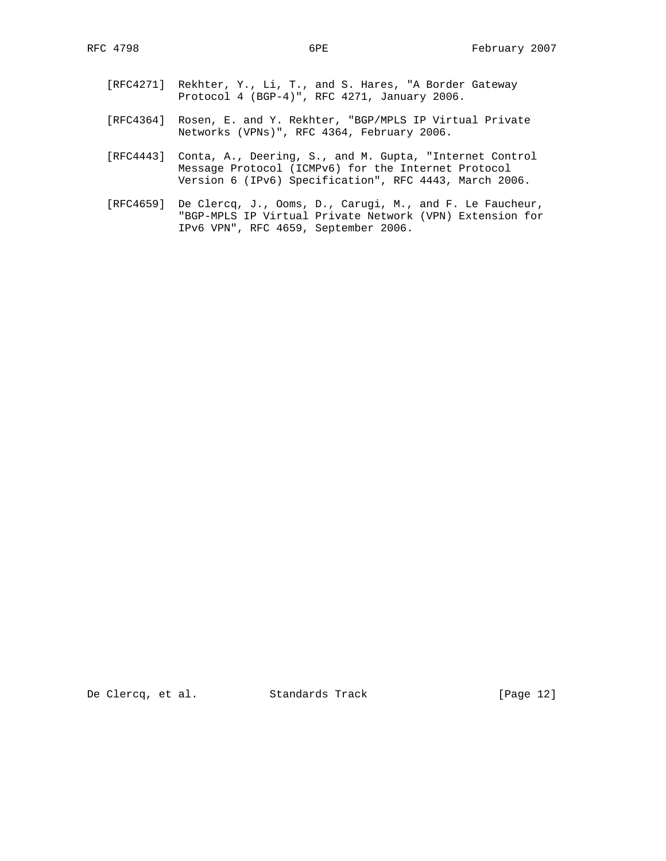- [RFC4271] Rekhter, Y., Li, T., and S. Hares, "A Border Gateway Protocol 4 (BGP-4)", RFC 4271, January 2006.
- [RFC4364] Rosen, E. and Y. Rekhter, "BGP/MPLS IP Virtual Private Networks (VPNs)", RFC 4364, February 2006.
- [RFC4443] Conta, A., Deering, S., and M. Gupta, "Internet Control Message Protocol (ICMPv6) for the Internet Protocol Version 6 (IPv6) Specification", RFC 4443, March 2006.
- [RFC4659] De Clercq, J., Ooms, D., Carugi, M., and F. Le Faucheur, "BGP-MPLS IP Virtual Private Network (VPN) Extension for IPv6 VPN", RFC 4659, September 2006.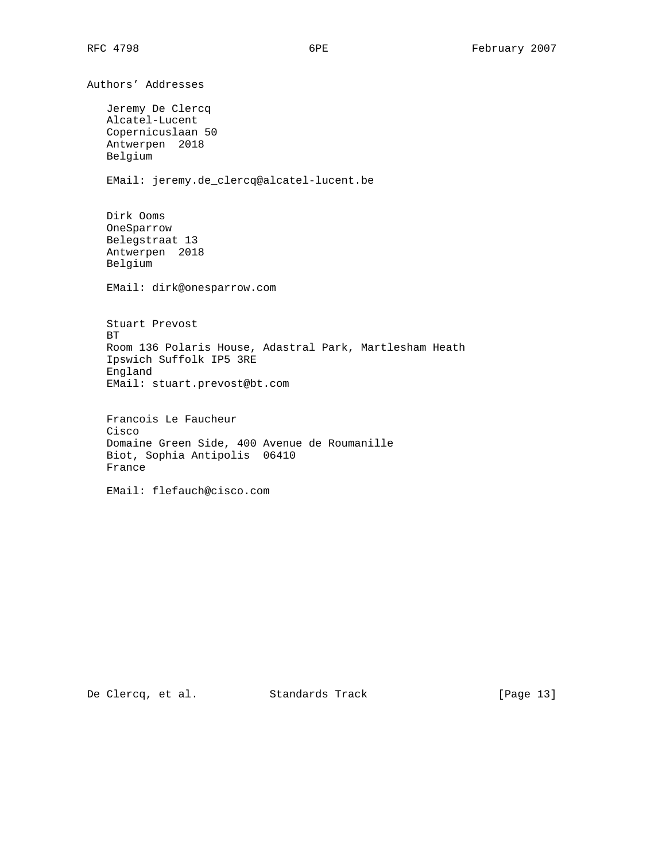Authors' Addresses Jeremy De Clercq Alcatel-Lucent Copernicuslaan 50 Antwerpen 2018 Belgium EMail: jeremy.de\_clercq@alcatel-lucent.be Dirk Ooms OneSparrow Belegstraat 13 Antwerpen 2018 Belgium EMail: dirk@onesparrow.com Stuart Prevost BT Room 136 Polaris House, Adastral Park, Martlesham Heath Ipswich Suffolk IP5 3RE England EMail: stuart.prevost@bt.com Francois Le Faucheur Cisco Domaine Green Side, 400 Avenue de Roumanille Biot, Sophia Antipolis 06410 France

De Clercq, et al. Standards Track [Page 13]

EMail: flefauch@cisco.com